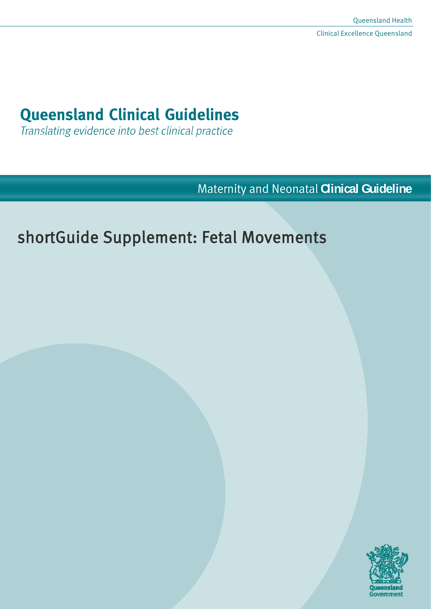# **Queensland Clinical Guidelines**

Translating evidence into best clinical practice

Maternity and Neonatal **Clinical Guideline**

# shortGuide Supplement: Fetal Movements

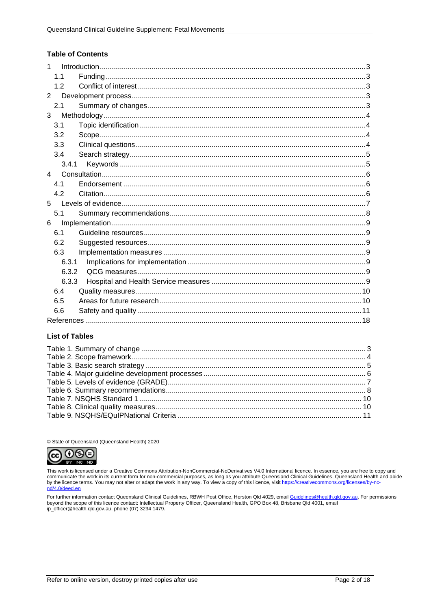#### **Table of Contents**

| $\mathbf{1}$   |       |  |
|----------------|-------|--|
|                | 1.1   |  |
|                | 1.2   |  |
| $\overline{2}$ |       |  |
|                | 2.1   |  |
| 3              |       |  |
|                | 3.1   |  |
|                | 3.2   |  |
|                | 3.3   |  |
|                | 3.4   |  |
|                | 3.4.1 |  |
| $\overline{4}$ |       |  |
|                | 4.1   |  |
|                | 4.2   |  |
| 5 <sup>1</sup> |       |  |
|                | 5.1   |  |
| 6              |       |  |
|                | 6.1   |  |
|                | 6.2   |  |
|                | 6.3   |  |
|                | 6.3.1 |  |
|                | 6.3.2 |  |
|                | 6.3.3 |  |
|                | 6.4   |  |
|                | 6.5   |  |
|                | 6.6   |  |
|                |       |  |

#### **List of Tables**

© State of Queensland (Queensland Health) 2020



This work is licensed under a Creative Commons Attribution-NonCommercial-NoDerivatives V4.0 International licence. In essence, you are free to copy and communicate the work in its current form for non-commercial purposes, as long as you attribute Queensland Clinical Guidelines, Queensland Health and abide by the licence terms. You may not alter or adapt the work in any way. To view a copy of this licence, visit https://creativecommons.org/licenses/by-no nd/4.0/deed.en

For further information contact Queensland Clinical Guidelines, RBWH Post Office, Herston Qld 4029, email Guidelines@health.qld.gov.au, For permissions beyond the scope of this licence contact: Intellectual Property Officer, Queensland Health, GPO Box 48, Brisbane Qld 4001, email ip\_officer@health.qld.gov.au, phone (07) 3234 1479.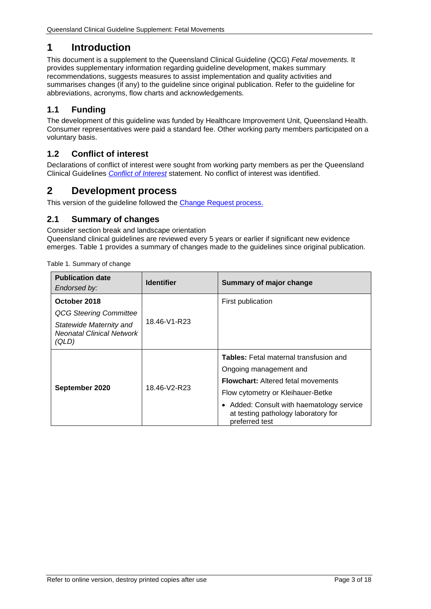# <span id="page-2-0"></span>**1 Introduction**

This document is a supplement to the Queensland Clinical Guideline (QCG) *Fetal movements.* It provides supplementary information regarding guideline development, makes summary recommendations, suggests measures to assist implementation and quality activities and summarises changes (if any) to the guideline since original publication. Refer to the guideline for abbreviations, acronyms, flow charts and acknowledgements.

## <span id="page-2-1"></span>**1.1 Funding**

The development of this guideline was funded by Healthcare Improvement Unit, Queensland Health. Consumer representatives were paid a standard fee. Other working party members participated on a voluntary basis.

## <span id="page-2-2"></span>**1.2 Conflict of interest**

Declarations of conflict of interest were sought from working party members as per the Queensland Clinical Guidelines *[Conflict of Interest](http://www.health.qld.gov.au/qcg/development#coi)* statement. No conflict of interest was identified.

## <span id="page-2-3"></span>**2 Development process**

<span id="page-2-4"></span>This version of the guideline followed the [Change Request](https://www.health.qld.gov.au/__data/assets/pdf_file/0025/364723/o-developprocess.pdf) process.

## **2.1 Summary of changes**

Consider section break and landscape orientation Queensland clinical guidelines are reviewed every 5 years or earlier if significant new evidence emerges. [Table 1](#page-2-5) provides a summary of changes made to the guidelines since original publication.

<span id="page-2-5"></span>Table 1. Summary of change

| <b>Publication date</b><br>Endorsed by:                                                                               | <b>Identifier</b> | Summary of major change                                                                                                                                                              |  |
|-----------------------------------------------------------------------------------------------------------------------|-------------------|--------------------------------------------------------------------------------------------------------------------------------------------------------------------------------------|--|
| October 2018<br><b>QCG Steering Committee</b><br>Statewide Maternity and<br><b>Neonatal Clinical Network</b><br>(QLD) | 18.46-V1-R23      | First publication                                                                                                                                                                    |  |
|                                                                                                                       |                   | <b>Tables:</b> Fetal maternal transfusion and<br>Ongoing management and                                                                                                              |  |
| September 2020                                                                                                        | 18.46-V2-R23      | <b>Flowchart: Altered fetal movements</b><br>Flow cytometry or Kleihauer-Betke<br>• Added: Consult with haematology service<br>at testing pathology laboratory for<br>preferred test |  |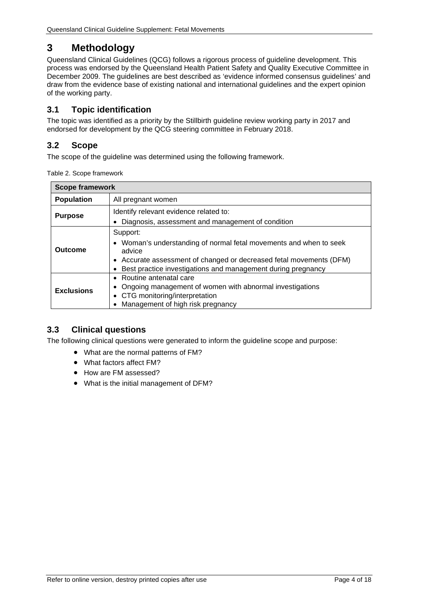# <span id="page-3-0"></span>**3 Methodology**

Queensland Clinical Guidelines (QCG) follows a rigorous process of guideline development. This process was endorsed by the Queensland Health Patient Safety and Quality Executive Committee in December 2009. The guidelines are best described as 'evidence informed consensus guidelines' and draw from the evidence base of existing national and international guidelines and the expert opinion of the working party.

## <span id="page-3-1"></span>**3.1 Topic identification**

The topic was identified as a priority by the Stillbirth guideline review working party in 2017 and endorsed for development by the QCG steering committee in February 2018.

## <span id="page-3-2"></span>**3.2 Scope**

<span id="page-3-4"></span>The scope of the guideline was determined using the following framework.

|  | Table 2. Scope framework |  |
|--|--------------------------|--|
|--|--------------------------|--|

| <b>Scope framework</b>                  |                                                                                                                                     |  |  |  |
|-----------------------------------------|-------------------------------------------------------------------------------------------------------------------------------------|--|--|--|
| <b>Population</b><br>All pregnant women |                                                                                                                                     |  |  |  |
| <b>Purpose</b>                          | Identify relevant evidence related to:                                                                                              |  |  |  |
|                                         | Diagnosis, assessment and management of condition                                                                                   |  |  |  |
|                                         | Support:                                                                                                                            |  |  |  |
| Outcome                                 | • Woman's understanding of normal fetal movements and when to seek<br>advice                                                        |  |  |  |
|                                         | • Accurate assessment of changed or decreased fetal movements (DFM)<br>Best practice investigations and management during pregnancy |  |  |  |
|                                         | • Routine antenatal care                                                                                                            |  |  |  |
| <b>Exclusions</b>                       | Ongoing management of women with abnormal investigations                                                                            |  |  |  |
|                                         | • CTG monitoring/interpretation                                                                                                     |  |  |  |
|                                         | Management of high risk pregnancy                                                                                                   |  |  |  |

## <span id="page-3-3"></span>**3.3 Clinical questions**

The following clinical questions were generated to inform the guideline scope and purpose:

- What are the normal patterns of FM?
- What factors affect FM?
- How are FM assessed?
- What is the initial management of DFM?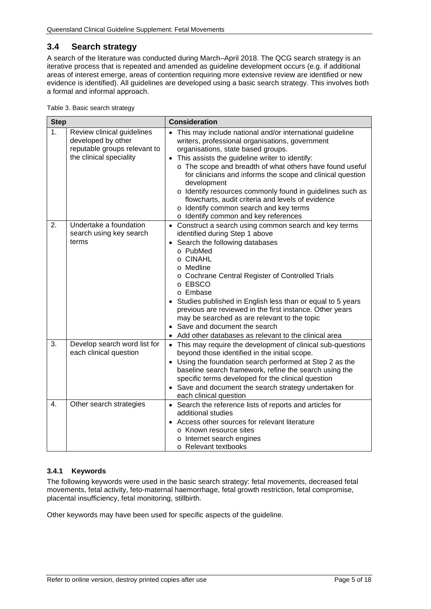## <span id="page-4-0"></span>**3.4 Search strategy**

A search of the literature was conducted during March–April 2018. The QCG search strategy is an iterative process that is repeated and amended as guideline development occurs (e.g. if additional areas of interest emerge, areas of contention requiring more extensive review are identified or new evidence is identified). All guidelines are developed using a basic search strategy. This involves both a formal and informal approach.

<span id="page-4-2"></span>

| Table 3. Basic search strategy |  |
|--------------------------------|--|
|                                |  |

| <b>Step</b>    |                                                                                                             | <b>Consideration</b>                                                                                                                                                                                                                                                                                                                                                                                                                                                                                                                               |  |
|----------------|-------------------------------------------------------------------------------------------------------------|----------------------------------------------------------------------------------------------------------------------------------------------------------------------------------------------------------------------------------------------------------------------------------------------------------------------------------------------------------------------------------------------------------------------------------------------------------------------------------------------------------------------------------------------------|--|
| 1 <sub>1</sub> | Review clinical guidelines<br>developed by other<br>reputable groups relevant to<br>the clinical speciality | This may include national and/or international guideline<br>writers, professional organisations, government<br>organisations, state based groups.<br>• This assists the guideline writer to identify:<br>o The scope and breadth of what others have found useful<br>for clinicians and informs the scope and clinical question<br>development<br>o Identify resources commonly found in guidelines such as<br>flowcharts, audit criteria and levels of evidence<br>o Identify common search and key terms<br>o Identify common and key references |  |
| 2.             | Undertake a foundation<br>search using key search<br>terms                                                  | • Construct a search using common search and key terms<br>identified during Step 1 above<br>• Search the following databases<br>o PubMed<br>o CINAHL<br>o Medline<br>o Cochrane Central Register of Controlled Trials<br>o EBSCO<br>o Embase<br>Studies published in English less than or equal to 5 years<br>previous are reviewed in the first instance. Other years<br>may be searched as are relevant to the topic<br>• Save and document the search<br>Add other databases as relevant to the clinical area                                   |  |
| 3.             | Develop search word list for<br>each clinical question                                                      | • This may require the development of clinical sub-questions<br>beyond those identified in the initial scope.<br>• Using the foundation search performed at Step 2 as the<br>baseline search framework, refine the search using the<br>specific terms developed for the clinical question<br>• Save and document the search strategy undertaken for<br>each clinical question                                                                                                                                                                      |  |
| 4.             | Other search strategies                                                                                     | • Search the reference lists of reports and articles for<br>additional studies<br>Access other sources for relevant literature<br>o Known resource sites<br>o Internet search engines<br>o Relevant textbooks                                                                                                                                                                                                                                                                                                                                      |  |

#### <span id="page-4-1"></span>**3.4.1 Keywords**

The following keywords were used in the basic search strategy: fetal movements, decreased fetal movements, fetal activity, feto-maternal haemorrhage, fetal growth restriction, fetal compromise, placental insufficiency, fetal monitoring, stillbirth.

Other keywords may have been used for specific aspects of the guideline.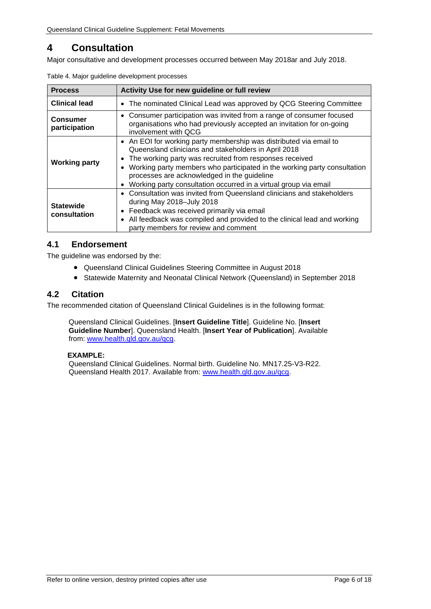# <span id="page-5-0"></span>**4 Consultation**

<span id="page-5-3"></span>Major consultative and development processes occurred between May 2018ar and July 2018.

| <b>Process</b>                   | Activity Use for new guideline or full review                                                                                                                                                                                                                                                                                                                                                     |  |  |
|----------------------------------|---------------------------------------------------------------------------------------------------------------------------------------------------------------------------------------------------------------------------------------------------------------------------------------------------------------------------------------------------------------------------------------------------|--|--|
| <b>Clinical lead</b>             | The nominated Clinical Lead was approved by QCG Steering Committee<br>$\bullet$                                                                                                                                                                                                                                                                                                                   |  |  |
| <b>Consumer</b><br>participation | • Consumer participation was invited from a range of consumer focused<br>organisations who had previously accepted an invitation for on-going<br>involvement with QCG                                                                                                                                                                                                                             |  |  |
| <b>Working party</b>             | • An EOI for working party membership was distributed via email to<br>Queensland clinicians and stakeholders in April 2018<br>The working party was recruited from responses received<br>Working party members who participated in the working party consultation<br>processes are acknowledged in the guideline<br>Working party consultation occurred in a virtual group via email<br>$\bullet$ |  |  |
| <b>Statewide</b><br>consultation | • Consultation was invited from Queensland clinicians and stakeholders<br>during May 2018-July 2018<br>Feedback was received primarily via email<br>$\bullet$<br>All feedback was compiled and provided to the clinical lead and working<br>$\bullet$<br>party members for review and comment                                                                                                     |  |  |

Table 4. Major guideline development processes

## <span id="page-5-1"></span>**4.1 Endorsement**

The guideline was endorsed by the:

- Queensland Clinical Guidelines Steering Committee in August 2018
- Statewide Maternity and Neonatal Clinical Network (Queensland) in September 2018

## <span id="page-5-2"></span>**4.2 Citation**

The recommended citation of Queensland Clinical Guidelines is in the following format:

Queensland Clinical Guidelines. [**Insert Guideline Title**]. Guideline No. [**Insert Guideline Number**]. Queensland Health. [**Insert Year of Publication**]. Available from: [www.health.qld.gov.au/qcg.](http://www.health.qld.gov.au/qcg)

#### **EXAMPLE:**

Queensland Clinical Guidelines. Normal birth. Guideline No. MN17.25-V3-R22. Queensland Health 2017. Available from: [www.health.qld.gov.au/qcg.](http://www.health.qld.gov.au/qcg)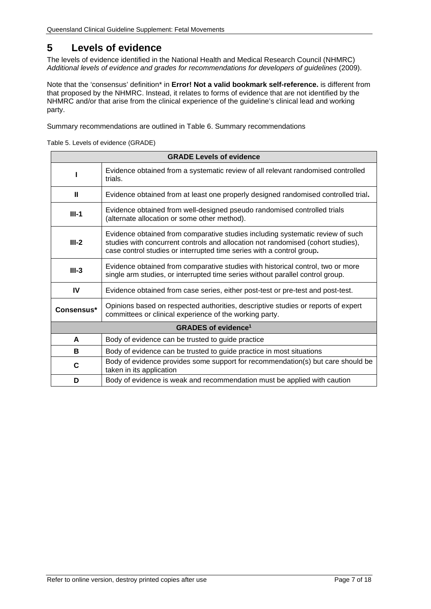# <span id="page-6-0"></span>**5 Levels of evidence**

<span id="page-6-2"></span>The levels of evidence identified in the National Health and Medical Research Council (NHMRC) *Additional levels of evidence and grades for recommendations for developers of guidelines* (2009).

Note that the 'consensus' definition\* in **[Error! Not a valid bookmark self-reference.](#page-6-2)** is different from that proposed by the NHMRC. Instead, it relates to forms of evidence that are not identified by the NHMRC and/or that arise from the clinical experience of the guideline's clinical lead and working party.

<span id="page-6-1"></span>Summary recommendations are outlined in Table 6. [Summary recommendations](#page-7-1)

Table 5. Levels of evidence (GRADE)

| <b>GRADE Levels of evidence</b>                                                                                                                                                                                                                                                                                                                                                               |                                                                                                                                              |         |                                                                                                                                                                   |  |
|-----------------------------------------------------------------------------------------------------------------------------------------------------------------------------------------------------------------------------------------------------------------------------------------------------------------------------------------------------------------------------------------------|----------------------------------------------------------------------------------------------------------------------------------------------|---------|-------------------------------------------------------------------------------------------------------------------------------------------------------------------|--|
| Evidence obtained from a systematic review of all relevant randomised controlled<br>trials.                                                                                                                                                                                                                                                                                                   |                                                                                                                                              |         |                                                                                                                                                                   |  |
| Ш                                                                                                                                                                                                                                                                                                                                                                                             | Evidence obtained from at least one properly designed randomised controlled trial.                                                           |         |                                                                                                                                                                   |  |
| Evidence obtained from well-designed pseudo randomised controlled trials<br>$III-1$<br>(alternate allocation or some other method).<br>Evidence obtained from comparative studies including systematic review of such<br>$III-2$<br>studies with concurrent controls and allocation not randomised (cohort studies),<br>case control studies or interrupted time series with a control group. |                                                                                                                                              |         |                                                                                                                                                                   |  |
|                                                                                                                                                                                                                                                                                                                                                                                               |                                                                                                                                              | $III-3$ | Evidence obtained from comparative studies with historical control, two or more<br>single arm studies, or interrupted time series without parallel control group. |  |
| IV<br>Evidence obtained from case series, either post-test or pre-test and post-test.                                                                                                                                                                                                                                                                                                         |                                                                                                                                              |         |                                                                                                                                                                   |  |
| Consensus*                                                                                                                                                                                                                                                                                                                                                                                    | Opinions based on respected authorities, descriptive studies or reports of expert<br>committees or clinical experience of the working party. |         |                                                                                                                                                                   |  |
| <b>GRADES of evidence<sup>1</sup></b>                                                                                                                                                                                                                                                                                                                                                         |                                                                                                                                              |         |                                                                                                                                                                   |  |
| A<br>Body of evidence can be trusted to guide practice                                                                                                                                                                                                                                                                                                                                        |                                                                                                                                              |         |                                                                                                                                                                   |  |
| в<br>Body of evidence can be trusted to guide practice in most situations                                                                                                                                                                                                                                                                                                                     |                                                                                                                                              |         |                                                                                                                                                                   |  |
| C                                                                                                                                                                                                                                                                                                                                                                                             | Body of evidence provides some support for recommendation(s) but care should be<br>taken in its application                                  |         |                                                                                                                                                                   |  |
| D                                                                                                                                                                                                                                                                                                                                                                                             | Body of evidence is weak and recommendation must be applied with caution                                                                     |         |                                                                                                                                                                   |  |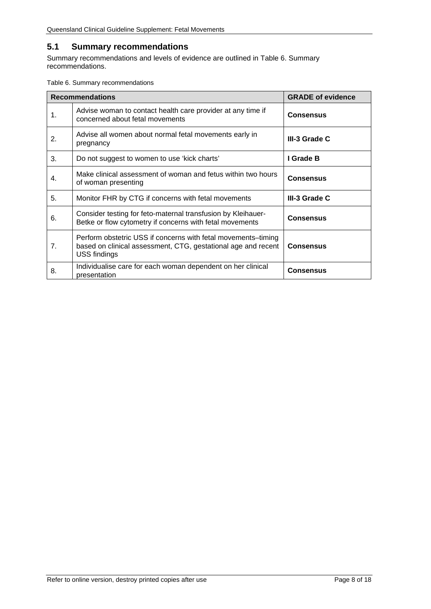## <span id="page-7-0"></span>**5.1 Summary recommendations**

Summary recommendations and levels of evidence are outlined in Table 6. [Summary](#page-7-1)  [recommendations.](#page-7-1)

<span id="page-7-1"></span>Table 6. Summary recommendations

|    | <b>Recommendations</b>                                                                                                                         | <b>GRADE of evidence</b> |
|----|------------------------------------------------------------------------------------------------------------------------------------------------|--------------------------|
| 1. | Advise woman to contact health care provider at any time if<br>concerned about fetal movements                                                 | <b>Consensus</b>         |
| 2. | Advise all women about normal fetal movements early in<br>pregnancy                                                                            | III-3 Grade C            |
| 3. | Do not suggest to women to use 'kick charts'                                                                                                   | I Grade B                |
| 4. | Make clinical assessment of woman and fetus within two hours<br>of woman presenting                                                            | <b>Consensus</b>         |
| 5. | Monitor FHR by CTG if concerns with fetal movements                                                                                            | III-3 Grade C            |
| 6. | Consider testing for feto-maternal transfusion by Kleihauer-<br>Betke or flow cytometry if concerns with fetal movements                       | <b>Consensus</b>         |
| 7. | Perform obstetric USS if concerns with fetal movements-timing<br>based on clinical assessment, CTG, gestational age and recent<br>USS findings | <b>Consensus</b>         |
| 8. | Individualise care for each woman dependent on her clinical<br>presentation                                                                    | <b>Consensus</b>         |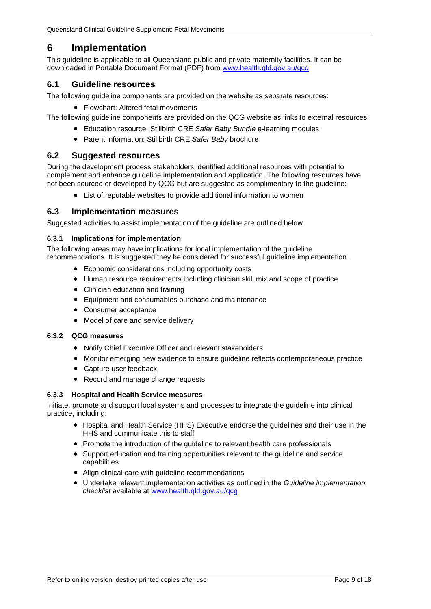# <span id="page-8-0"></span>**6 Implementation**

This guideline is applicable to all Queensland public and private maternity facilities. It can be downloaded in Portable Document Format (PDF) from [www.health.qld.gov.au/qcg](http://www.health.qld.gov.au/qcg)

## <span id="page-8-1"></span>**6.1 Guideline resources**

The following guideline components are provided on the website as separate resources:

• Flowchart: Altered fetal movements

The following guideline components are provided on the QCG website as links to external resources:

- Education resource: Stillbirth CRE *Safer Baby Bundle* e-learning modules
- Parent information: Stillbirth CRE *Safer Baby* brochure

#### <span id="page-8-2"></span>**6.2 Suggested resources**

During the development process stakeholders identified additional resources with potential to complement and enhance guideline implementation and application. The following resources have not been sourced or developed by QCG but are suggested as complimentary to the guideline:

• List of reputable websites to provide additional information to women

#### <span id="page-8-3"></span>**6.3 Implementation measures**

Suggested activities to assist implementation of the guideline are outlined below.

#### <span id="page-8-4"></span>**6.3.1 Implications for implementation**

The following areas may have implications for local implementation of the guideline recommendations. It is suggested they be considered for successful guideline implementation.

- Economic considerations including opportunity costs
- Human resource requirements including clinician skill mix and scope of practice
- Clinician education and training
- Equipment and consumables purchase and maintenance
- Consumer acceptance
- Model of care and service delivery

#### <span id="page-8-5"></span>**6.3.2 QCG measures**

- Notify Chief Executive Officer and relevant stakeholders
- Monitor emerging new evidence to ensure guideline reflects contemporaneous practice
- Capture user feedback
- Record and manage change requests

#### <span id="page-8-6"></span>**6.3.3 Hospital and Health Service measures**

Initiate, promote and support local systems and processes to integrate the guideline into clinical practice, including:

- Hospital and Health Service (HHS) Executive endorse the guidelines and their use in the HHS and communicate this to staff
- Promote the introduction of the guideline to relevant health care professionals
- Support education and training opportunities relevant to the guideline and service capabilities
- Align clinical care with guideline recommendations
- Undertake relevant implementation activities as outlined in the *Guideline implementation checklist* available at [www.health.qld.gov.au/qcg](http://www.health.qld.gov.au/qcg)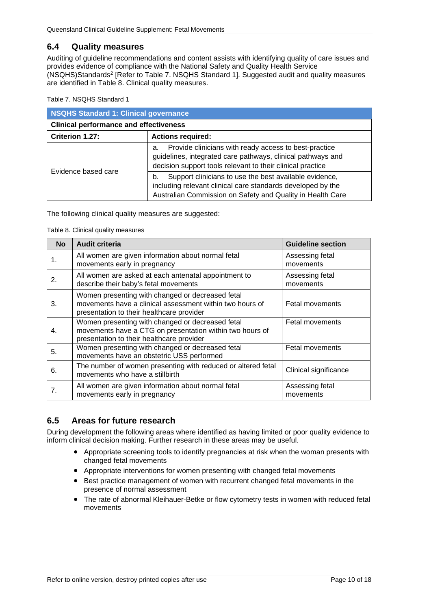## <span id="page-9-0"></span>**6.4 Quality measures**

Auditing of guideline recommendations and content assists with identifying quality of care issues and provides evidence of compliance with the National Safety and Quality Health Service (NSQHS)Standards2 [Refer to Table 7. [NSQHS Standard 1\]](#page-9-2). Suggested audit and quality measures are identified in Table 8. [Clinical quality measures.](#page-9-3)

<span id="page-9-2"></span>Table 7. NSQHS Standard 1

| <b>NSQHS Standard 1: Clinical governance</b>  |                                                                                                                                                                                           |  |  |
|-----------------------------------------------|-------------------------------------------------------------------------------------------------------------------------------------------------------------------------------------------|--|--|
| <b>Clinical performance and effectiveness</b> |                                                                                                                                                                                           |  |  |
| Criterion 1.27:<br><b>Actions required:</b>   |                                                                                                                                                                                           |  |  |
| Evidence based care                           | Provide clinicians with ready access to best-practice<br>а.<br>guidelines, integrated care pathways, clinical pathways and<br>decision support tools relevant to their clinical practice  |  |  |
|                                               | Support clinicians to use the best available evidence,<br>b.<br>including relevant clinical care standards developed by the<br>Australian Commission on Safety and Quality in Health Care |  |  |

<span id="page-9-3"></span>The following clinical quality measures are suggested:

#### Table 8. Clinical quality measures

| <b>No</b> | <b>Audit criteria</b>                                                                                                                                     | <b>Guideline section</b>     |
|-----------|-----------------------------------------------------------------------------------------------------------------------------------------------------------|------------------------------|
| 1.        | All women are given information about normal fetal<br>movements early in pregnancy                                                                        | Assessing fetal<br>movements |
| 2.        | All women are asked at each antenatal appointment to<br>describe their baby's fetal movements                                                             | Assessing fetal<br>movements |
| 3.        | Women presenting with changed or decreased fetal<br>movements have a clinical assessment within two hours of<br>presentation to their healthcare provider | Fetal movements              |
| 4.        | Women presenting with changed or decreased fetal<br>movements have a CTG on presentation within two hours of<br>presentation to their healthcare provider | <b>Fetal movements</b>       |
| 5.        | Women presenting with changed or decreased fetal<br>movements have an obstetric USS performed                                                             | Fetal movements              |
| 6.        | The number of women presenting with reduced or altered fetal<br>movements who have a stillbirth                                                           | Clinical significance        |
| 7.        | All women are given information about normal fetal<br>movements early in pregnancy                                                                        | Assessing fetal<br>movements |

### <span id="page-9-1"></span>**6.5 Areas for future research**

During development the following areas where identified as having limited or poor quality evidence to inform clinical decision making. Further research in these areas may be useful.

- Appropriate screening tools to identify pregnancies at risk when the woman presents with changed fetal movements
- Appropriate interventions for women presenting with changed fetal movements
- Best practice management of women with recurrent changed fetal movements in the presence of normal assessment
- The rate of abnormal Kleihauer-Betke or flow cytometry tests in women with reduced fetal movements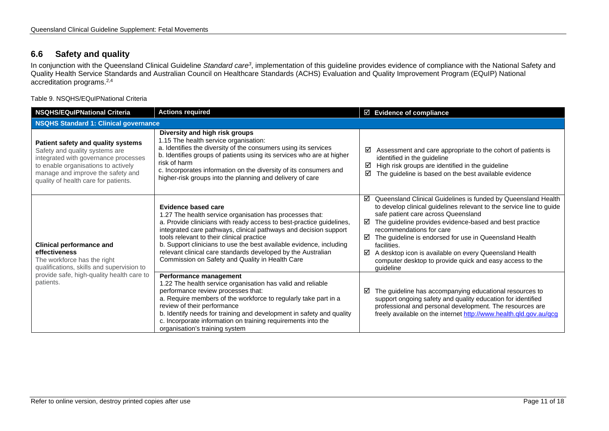## **6.6 Safety and quality**

In conjunction with the Queensland Clinical Guideline *Standard care3*, implementation of this guideline provides evidence of compliance with the National Safety and Quality Health Service Standards and Australian Council on Healthcare Standards (ACHS) Evaluation and Quality Improvement Program (EQuIP) National accreditation programs.2,4

Table 9. NSQHS/EQuIPNational Criteria

<span id="page-10-1"></span><span id="page-10-0"></span>

| <b>NSQHS/EQulPNational Criteria</b>                                                                                                                                                                                              | <b>Actions required</b>                                                                                                                                                                                                                                                                                                                                                                                                                                            | $\boxtimes$ Evidence of compliance                                                                                                                                                                                                                                                                                                                                                                                                                                                                  |  |
|----------------------------------------------------------------------------------------------------------------------------------------------------------------------------------------------------------------------------------|--------------------------------------------------------------------------------------------------------------------------------------------------------------------------------------------------------------------------------------------------------------------------------------------------------------------------------------------------------------------------------------------------------------------------------------------------------------------|-----------------------------------------------------------------------------------------------------------------------------------------------------------------------------------------------------------------------------------------------------------------------------------------------------------------------------------------------------------------------------------------------------------------------------------------------------------------------------------------------------|--|
| <b>NSQHS Standard 1: Clinical governance</b>                                                                                                                                                                                     |                                                                                                                                                                                                                                                                                                                                                                                                                                                                    |                                                                                                                                                                                                                                                                                                                                                                                                                                                                                                     |  |
| Patient safety and quality systems<br>Safety and quality systems are<br>integrated with governance processes<br>to enable organisations to actively<br>manage and improve the safety and<br>quality of health care for patients. | Diversity and high risk groups<br>1.15 The health service organisation:<br>a. Identifies the diversity of the consumers using its services<br>b. Identifies groups of patients using its services who are at higher<br>risk of harm<br>c. Incorporates information on the diversity of its consumers and<br>higher-risk groups into the planning and delivery of care                                                                                              | Assessment and care appropriate to the cohort of patients is<br>☑<br>identified in the guideline<br>High risk groups are identified in the guideline<br>☑<br>The guideline is based on the best available evidence<br>☑                                                                                                                                                                                                                                                                             |  |
| <b>Clinical performance and</b><br>effectiveness<br>The workforce has the right<br>qualifications, skills and supervision to<br>provide safe, high-quality health care to<br>patients.                                           | Evidence based care<br>1.27 The health service organisation has processes that:<br>a. Provide clinicians with ready access to best-practice guidelines,<br>integrated care pathways, clinical pathways and decision support<br>tools relevant to their clinical practice<br>b. Support clinicians to use the best available evidence, including<br>relevant clinical care standards developed by the Australian<br>Commission on Safety and Quality in Health Care | ☑<br>Queensland Clinical Guidelines is funded by Queensland Health<br>to develop clinical guidelines relevant to the service line to guide<br>safe patient care across Queensland<br>The guideline provides evidence-based and best practice<br>⊠<br>recommendations for care<br>☑<br>The guideline is endorsed for use in Queensland Health<br>facilities.<br>A desktop icon is available on every Queensland Health<br>☑<br>computer desktop to provide quick and easy access to the<br>guideline |  |
|                                                                                                                                                                                                                                  | Performance management<br>1.22 The health service organisation has valid and reliable<br>performance review processes that:<br>a. Require members of the workforce to regularly take part in a<br>review of their performance<br>b. Identify needs for training and development in safety and quality<br>c. Incorporate information on training requirements into the<br>organisation's training system                                                            | The guideline has accompanying educational resources to<br>☑<br>support ongoing safety and quality education for identified<br>professional and personal development. The resources are<br>freely available on the internet http://www.health.qld.gov.au/qcg                                                                                                                                                                                                                                        |  |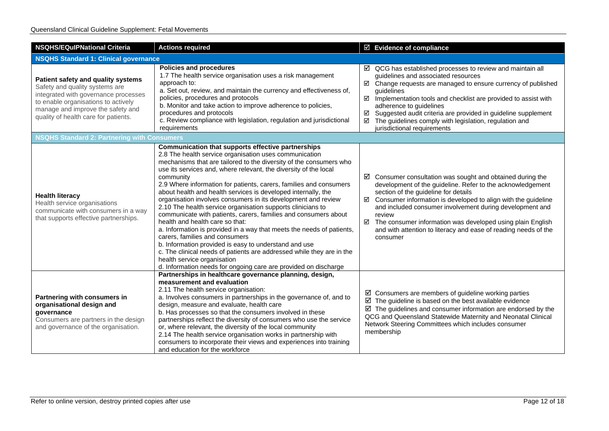| <b>NSQHS/EQuIPNational Criteria</b>                                                                                                                                                                                              | <b>Actions required</b>                                                                                                                                                                                                                                                                                                                                                                                                                                                                                                                                                                                                                                                                                                                                                                                                                                                                                                                                                                         | $\boxtimes$ Evidence of compliance                                                                                                                                                                                                                                                                                                                                                                                                                                       |  |
|----------------------------------------------------------------------------------------------------------------------------------------------------------------------------------------------------------------------------------|-------------------------------------------------------------------------------------------------------------------------------------------------------------------------------------------------------------------------------------------------------------------------------------------------------------------------------------------------------------------------------------------------------------------------------------------------------------------------------------------------------------------------------------------------------------------------------------------------------------------------------------------------------------------------------------------------------------------------------------------------------------------------------------------------------------------------------------------------------------------------------------------------------------------------------------------------------------------------------------------------|--------------------------------------------------------------------------------------------------------------------------------------------------------------------------------------------------------------------------------------------------------------------------------------------------------------------------------------------------------------------------------------------------------------------------------------------------------------------------|--|
| <b>NSQHS Standard 1: Clinical governance</b>                                                                                                                                                                                     |                                                                                                                                                                                                                                                                                                                                                                                                                                                                                                                                                                                                                                                                                                                                                                                                                                                                                                                                                                                                 |                                                                                                                                                                                                                                                                                                                                                                                                                                                                          |  |
| Patient safety and quality systems<br>Safety and quality systems are<br>integrated with governance processes<br>to enable organisations to actively<br>manage and improve the safety and<br>quality of health care for patients. | <b>Policies and procedures</b><br>1.7 The health service organisation uses a risk management<br>approach to:<br>a. Set out, review, and maintain the currency and effectiveness of,<br>policies, procedures and protocols<br>b. Monitor and take action to improve adherence to policies,<br>procedures and protocols<br>c. Review compliance with legislation, regulation and jurisdictional<br>requirements                                                                                                                                                                                                                                                                                                                                                                                                                                                                                                                                                                                   | $\boxtimes$ QCG has established processes to review and maintain all<br>guidelines and associated resources<br>Change requests are managed to ensure currency of published<br>☑<br>guidelines<br>☑<br>Implementation tools and checklist are provided to assist with<br>adherence to guidelines<br>Suggested audit criteria are provided in guideline supplement<br>☑<br>The guidelines comply with legislation, regulation and<br>☑<br>jurisdictional requirements      |  |
| <b>NSQHS Standard 2: Partnering with Consumers</b>                                                                                                                                                                               |                                                                                                                                                                                                                                                                                                                                                                                                                                                                                                                                                                                                                                                                                                                                                                                                                                                                                                                                                                                                 |                                                                                                                                                                                                                                                                                                                                                                                                                                                                          |  |
| <b>Health literacy</b><br>Health service organisations<br>communicate with consumers in a way<br>that supports effective partnerships.                                                                                           | Communication that supports effective partnerships<br>2.8 The health service organisation uses communication<br>mechanisms that are tailored to the diversity of the consumers who<br>use its services and, where relevant, the diversity of the local<br>community<br>2.9 Where information for patients, carers, families and consumers<br>about health and health services is developed internally, the<br>organisation involves consumers in its development and review<br>2.10 The health service organisation supports clinicians to<br>communicate with patients, carers, families and consumers about<br>health and health care so that:<br>a. Information is provided in a way that meets the needs of patients,<br>carers, families and consumers<br>b. Information provided is easy to understand and use<br>c. The clinical needs of patients are addressed while they are in the<br>health service organisation<br>d. Information needs for ongoing care are provided on discharge | $\boxtimes$ Consumer consultation was sought and obtained during the<br>development of the guideline. Refer to the acknowledgement<br>section of the guideline for details<br>Consumer information is developed to align with the guideline<br>☑<br>and included consumer involvement during development and<br>review<br>☑<br>The consumer information was developed using plain English<br>and with attention to literacy and ease of reading needs of the<br>consumer |  |
| Partnering with consumers in<br>organisational design and<br>governance<br>Consumers are partners in the design<br>and governance of the organisation.                                                                           | Partnerships in healthcare governance planning, design,<br>measurement and evaluation<br>2.11 The health service organisation:<br>a. Involves consumers in partnerships in the governance of, and to<br>design, measure and evaluate, health care<br>b. Has processes so that the consumers involved in these<br>partnerships reflect the diversity of consumers who use the service<br>or, where relevant, the diversity of the local community<br>2.14 The health service organisation works in partnership with<br>consumers to incorporate their views and experiences into training<br>and education for the workforce                                                                                                                                                                                                                                                                                                                                                                     | $\boxtimes$ Consumers are members of guideline working parties<br>$\boxtimes$ The guideline is based on the best available evidence<br>$\boxtimes$ The guidelines and consumer information are endorsed by the<br>QCG and Queensland Statewide Maternity and Neonatal Clinical<br>Network Steering Committees which includes consumer<br>membership                                                                                                                      |  |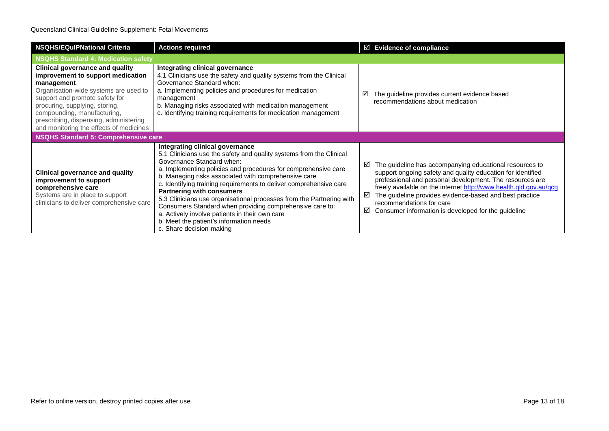#### Queensland Clinical Guideline Supplement: Fetal Movements

| <b>NSQHS/EQuIPNational Criteria</b>                                                                                                                                                                                                                                                                                        | <b>Actions required</b>                                                                                                                                                                                                                                                                                                                                                                                                                                                                                                                                                                                                              | $\boxtimes$ Evidence of compliance                                                                                                                                                                                                                                                                                                                                                                                   |  |  |
|----------------------------------------------------------------------------------------------------------------------------------------------------------------------------------------------------------------------------------------------------------------------------------------------------------------------------|--------------------------------------------------------------------------------------------------------------------------------------------------------------------------------------------------------------------------------------------------------------------------------------------------------------------------------------------------------------------------------------------------------------------------------------------------------------------------------------------------------------------------------------------------------------------------------------------------------------------------------------|----------------------------------------------------------------------------------------------------------------------------------------------------------------------------------------------------------------------------------------------------------------------------------------------------------------------------------------------------------------------------------------------------------------------|--|--|
| NSQHS Standard 4: Medication safety                                                                                                                                                                                                                                                                                        |                                                                                                                                                                                                                                                                                                                                                                                                                                                                                                                                                                                                                                      |                                                                                                                                                                                                                                                                                                                                                                                                                      |  |  |
| <b>Clinical governance and quality</b><br>improvement to support medication<br>management<br>Organisation-wide systems are used to<br>support and promote safety for<br>procuring, supplying, storing,<br>compounding, manufacturing,<br>prescribing, dispensing, administering<br>and monitoring the effects of medicines | Integrating clinical governance<br>4.1 Clinicians use the safety and quality systems from the Clinical<br>Governance Standard when:<br>a. Implementing policies and procedures for medication<br>management<br>b. Managing risks associated with medication management<br>c. Identifying training requirements for medication management                                                                                                                                                                                                                                                                                             | The guideline provides current evidence based<br>☑<br>recommendations about medication                                                                                                                                                                                                                                                                                                                               |  |  |
| NSQHS Standard 5: Comprehensive care                                                                                                                                                                                                                                                                                       |                                                                                                                                                                                                                                                                                                                                                                                                                                                                                                                                                                                                                                      |                                                                                                                                                                                                                                                                                                                                                                                                                      |  |  |
| <b>Clinical governance and quality</b><br>improvement to support<br>comprehensive care<br>Systems are in place to support<br>clinicians to deliver comprehensive care                                                                                                                                                      | Integrating clinical governance<br>5.1 Clinicians use the safety and quality systems from the Clinical<br>Governance Standard when:<br>a. Implementing policies and procedures for comprehensive care<br>b. Managing risks associated with comprehensive care<br>c. Identifying training requirements to deliver comprehensive care<br><b>Partnering with consumers</b><br>5.3 Clinicians use organisational processes from the Partnering with<br>Consumers Standard when providing comprehensive care to:<br>a. Actively involve patients in their own care<br>b. Meet the patient's information needs<br>c. Share decision-making | The guideline has accompanying educational resources to<br>☑<br>support ongoing safety and quality education for identified<br>professional and personal development. The resources are<br>freely available on the internet http://www.health.qld.gov.au/qcg<br>The guideline provides evidence-based and best practice<br>☑<br>recommendations for care<br>Consumer information is developed for the guideline<br>☑ |  |  |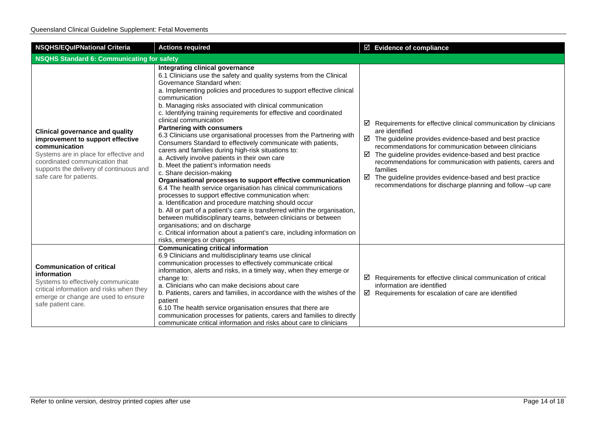| <b>NSQHS/EQulPNational Criteria</b>                                                                                                                                                                                                           | <b>Actions required</b>                                                                                                                                                                                                                                                                                                                                                                                                                                                                                                                                                                                                                                                                                                                                                                                                                                                                                                                                                                                                                                                                                                                                                                                                                                                                            | $\boxtimes$ Evidence of compliance                                                                                                                                                                                                                                                                                                                                                                                                                                                                    |  |
|-----------------------------------------------------------------------------------------------------------------------------------------------------------------------------------------------------------------------------------------------|----------------------------------------------------------------------------------------------------------------------------------------------------------------------------------------------------------------------------------------------------------------------------------------------------------------------------------------------------------------------------------------------------------------------------------------------------------------------------------------------------------------------------------------------------------------------------------------------------------------------------------------------------------------------------------------------------------------------------------------------------------------------------------------------------------------------------------------------------------------------------------------------------------------------------------------------------------------------------------------------------------------------------------------------------------------------------------------------------------------------------------------------------------------------------------------------------------------------------------------------------------------------------------------------------|-------------------------------------------------------------------------------------------------------------------------------------------------------------------------------------------------------------------------------------------------------------------------------------------------------------------------------------------------------------------------------------------------------------------------------------------------------------------------------------------------------|--|
| NSQHS Standard 6: Communicating for safety                                                                                                                                                                                                    |                                                                                                                                                                                                                                                                                                                                                                                                                                                                                                                                                                                                                                                                                                                                                                                                                                                                                                                                                                                                                                                                                                                                                                                                                                                                                                    |                                                                                                                                                                                                                                                                                                                                                                                                                                                                                                       |  |
| <b>Clinical governance and quality</b><br>improvement to support effective<br>communication<br>Systems are in place for effective and<br>coordinated communication that<br>supports the delivery of continuous and<br>safe care for patients. | Integrating clinical governance<br>6.1 Clinicians use the safety and quality systems from the Clinical<br>Governance Standard when:<br>a. Implementing policies and procedures to support effective clinical<br>communication<br>b. Managing risks associated with clinical communication<br>c. Identifying training requirements for effective and coordinated<br>clinical communication<br><b>Partnering with consumers</b><br>6.3 Clinicians use organisational processes from the Partnering with<br>Consumers Standard to effectively communicate with patients,<br>carers and families during high-risk situations to:<br>a. Actively involve patients in their own care<br>b. Meet the patient's information needs<br>c. Share decision-making<br>Organisational processes to support effective communication<br>6.4 The health service organisation has clinical communications<br>processes to support effective communication when:<br>a. Identification and procedure matching should occur<br>b. All or part of a patient's care is transferred within the organisation,<br>between multidisciplinary teams, between clinicians or between<br>organisations; and on discharge<br>c. Critical information about a patient's care, including information on<br>risks, emerges or changes | $\boxtimes$ Requirements for effective clinical communication by clinicians<br>are identified<br>$\boxtimes$ The guideline provides evidence-based and best practice<br>recommendations for communication between clinicians<br>The guideline provides evidence-based and best practice<br>☑<br>recommendations for communication with patients, carers and<br>families<br>☑<br>The guideline provides evidence-based and best practice<br>recommendations for discharge planning and follow -up care |  |
| <b>Communication of critical</b><br>information<br>Systems to effectively communicate<br>critical information and risks when they<br>emerge or change are used to ensure<br>safe patient care.                                                | <b>Communicating critical information</b><br>6.9 Clinicians and multidisciplinary teams use clinical<br>communication processes to effectively communicate critical<br>information, alerts and risks, in a timely way, when they emerge or<br>change to:<br>a. Clinicians who can make decisions about care<br>b. Patients, carers and families, in accordance with the wishes of the<br>patient<br>6.10 The health service organisation ensures that there are<br>communication processes for patients, carers and families to directly<br>communicate critical information and risks about care to clinicians                                                                                                                                                                                                                                                                                                                                                                                                                                                                                                                                                                                                                                                                                    | $\boxtimes$ Requirements for effective clinical communication of critical<br>information are identified<br>$\boxtimes$ Requirements for escalation of care are identified                                                                                                                                                                                                                                                                                                                             |  |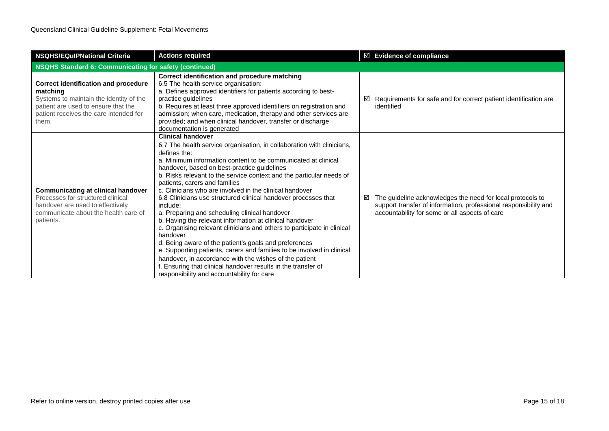| <b>NSQHS/EQulPNational Criteria</b>                                                                                                                                                          | <b>Actions required</b>                                                                                                                                                                                                                                                                                                                                                                                                                                                                                                                                                                                                                                                                                                                                                                                                                                                                                                                                                                             | ☑ Evidence of compliance                                                                                                                                                              |  |
|----------------------------------------------------------------------------------------------------------------------------------------------------------------------------------------------|-----------------------------------------------------------------------------------------------------------------------------------------------------------------------------------------------------------------------------------------------------------------------------------------------------------------------------------------------------------------------------------------------------------------------------------------------------------------------------------------------------------------------------------------------------------------------------------------------------------------------------------------------------------------------------------------------------------------------------------------------------------------------------------------------------------------------------------------------------------------------------------------------------------------------------------------------------------------------------------------------------|---------------------------------------------------------------------------------------------------------------------------------------------------------------------------------------|--|
| NSQHS Standard 6: Communicating for safety (continued)                                                                                                                                       |                                                                                                                                                                                                                                                                                                                                                                                                                                                                                                                                                                                                                                                                                                                                                                                                                                                                                                                                                                                                     |                                                                                                                                                                                       |  |
| <b>Correct identification and procedure</b><br>matching<br>Systems to maintain the identity of the<br>patient are used to ensure that the<br>patient receives the care intended for<br>them. | Correct identification and procedure matching<br>6.5 The health service organisation:<br>a. Defines approved identifiers for patients according to best-<br>practice guidelines<br>b. Requires at least three approved identifiers on registration and<br>admission; when care, medication, therapy and other services are<br>provided; and when clinical handover, transfer or discharge<br>documentation is generated                                                                                                                                                                                                                                                                                                                                                                                                                                                                                                                                                                             | Requirements for safe and for correct patient identification are<br>☑<br>identified                                                                                                   |  |
| <b>Communicating at clinical handover</b><br>Processes for structured clinical<br>handover are used to effectively<br>communicate about the health care of<br>patients.                      | <b>Clinical handover</b><br>6.7 The health service organisation, in collaboration with clinicians,<br>defines the:<br>a. Minimum information content to be communicated at clinical<br>handover, based on best-practice guidelines<br>b. Risks relevant to the service context and the particular needs of<br>patients, carers and families<br>c. Clinicians who are involved in the clinical handover<br>6.8 Clinicians use structured clinical handover processes that<br>include:<br>a. Preparing and scheduling clinical handover<br>b. Having the relevant information at clinical handover<br>c. Organising relevant clinicians and others to participate in clinical<br>handover<br>d. Being aware of the patient's goals and preferences<br>e. Supporting patients, carers and families to be involved in clinical<br>handover, in accordance with the wishes of the patient<br>f. Ensuring that clinical handover results in the transfer of<br>responsibility and accountability for care | The guideline acknowledges the need for local protocols to<br>☑<br>support transfer of information, professional responsibility and<br>accountability for some or all aspects of care |  |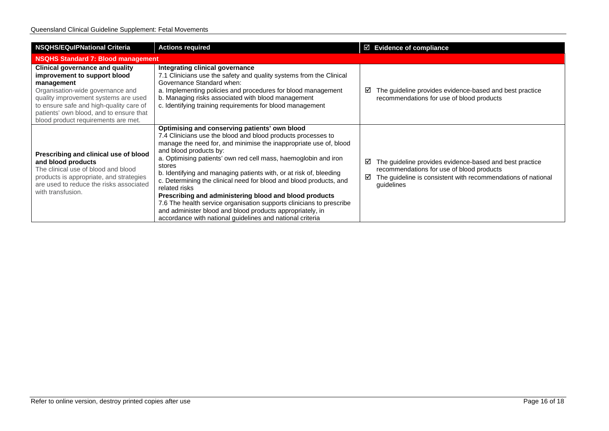| <b>NSQHS/EQulPNational Criteria</b>                                                                                                                                                                                                                                                           | <b>Actions required</b>                                                                                                                                                                                                                                                                                                                                                                                                                                                                                                                                                                                                                                                                                            | $\boxtimes$ Evidence of compliance                      |                                                                                                                         |  |
|-----------------------------------------------------------------------------------------------------------------------------------------------------------------------------------------------------------------------------------------------------------------------------------------------|--------------------------------------------------------------------------------------------------------------------------------------------------------------------------------------------------------------------------------------------------------------------------------------------------------------------------------------------------------------------------------------------------------------------------------------------------------------------------------------------------------------------------------------------------------------------------------------------------------------------------------------------------------------------------------------------------------------------|---------------------------------------------------------|-------------------------------------------------------------------------------------------------------------------------|--|
| <b>NSQHS Standard 7: Blood management</b>                                                                                                                                                                                                                                                     |                                                                                                                                                                                                                                                                                                                                                                                                                                                                                                                                                                                                                                                                                                                    |                                                         |                                                                                                                         |  |
| <b>Clinical governance and quality</b><br>improvement to support blood<br>management<br>Organisation-wide governance and<br>quality improvement systems are used<br>to ensure safe and high-quality care of<br>patients' own blood, and to ensure that<br>blood product requirements are met. | Integrating clinical governance<br>7.1 Clinicians use the safety and quality systems from the Clinical<br>Governance Standard when:<br>a. Implementing policies and procedures for blood management<br>b. Managing risks associated with blood management<br>c. Identifying training requirements for blood management                                                                                                                                                                                                                                                                                                                                                                                             | recommendations for use of blood products               | The guideline provides evidence-based and best practice                                                                 |  |
| Prescribing and clinical use of blood<br>and blood products<br>The clinical use of blood and blood<br>products is appropriate, and strategies<br>are used to reduce the risks associated<br>with transfusion.                                                                                 | Optimising and conserving patients' own blood<br>7.4 Clinicians use the blood and blood products processes to<br>manage the need for, and minimise the inappropriate use of, blood<br>and blood products by:<br>a. Optimising patients' own red cell mass, haemoglobin and iron<br>stores<br>b. Identifying and managing patients with, or at risk of, bleeding<br>c. Determining the clinical need for blood and blood products, and<br>related risks<br>Prescribing and administering blood and blood products<br>7.6 The health service organisation supports clinicians to prescribe<br>and administer blood and blood products appropriately, in<br>accordance with national guidelines and national criteria | recommendations for use of blood products<br>guidelines | The guideline provides evidence-based and best practice<br>The guideline is consistent with recommendations of national |  |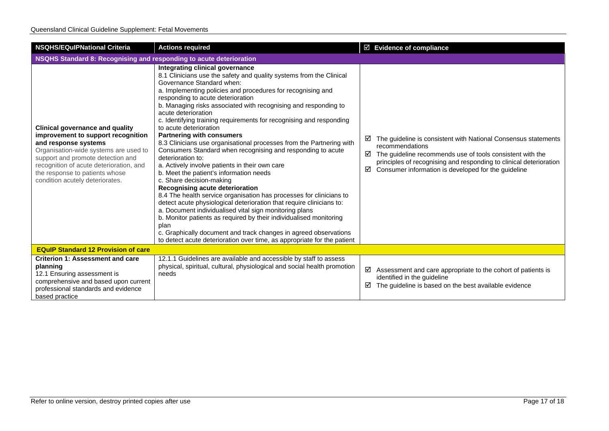| <b>NSQHS/EQulPNational Criteria</b>                                                                                                                                                                                                                                                                | <b>Actions required</b>                                                                                                                                                                                                                                                                                                                                                                                                                                                                                                                                                                                                                                                                                                                                                                                                                                                                                                                                                                                                                                                                                                                                                                                                              | $\boxtimes$ Evidence of compliance                                                                                                                                                                                                                                                         |  |  |
|----------------------------------------------------------------------------------------------------------------------------------------------------------------------------------------------------------------------------------------------------------------------------------------------------|--------------------------------------------------------------------------------------------------------------------------------------------------------------------------------------------------------------------------------------------------------------------------------------------------------------------------------------------------------------------------------------------------------------------------------------------------------------------------------------------------------------------------------------------------------------------------------------------------------------------------------------------------------------------------------------------------------------------------------------------------------------------------------------------------------------------------------------------------------------------------------------------------------------------------------------------------------------------------------------------------------------------------------------------------------------------------------------------------------------------------------------------------------------------------------------------------------------------------------------|--------------------------------------------------------------------------------------------------------------------------------------------------------------------------------------------------------------------------------------------------------------------------------------------|--|--|
| NSQHS Standard 8: Recognising and responding to acute deterioration                                                                                                                                                                                                                                |                                                                                                                                                                                                                                                                                                                                                                                                                                                                                                                                                                                                                                                                                                                                                                                                                                                                                                                                                                                                                                                                                                                                                                                                                                      |                                                                                                                                                                                                                                                                                            |  |  |
| <b>Clinical governance and quality</b><br>improvement to support recognition<br>and response systems<br>Organisation-wide systems are used to<br>support and promote detection and<br>recognition of acute deterioration, and<br>the response to patients whose<br>condition acutely deteriorates. | Integrating clinical governance<br>8.1 Clinicians use the safety and quality systems from the Clinical<br>Governance Standard when:<br>a. Implementing policies and procedures for recognising and<br>responding to acute deterioration<br>b. Managing risks associated with recognising and responding to<br>acute deterioration<br>c. Identifying training requirements for recognising and responding<br>to acute deterioration<br><b>Partnering with consumers</b><br>8.3 Clinicians use organisational processes from the Partnering with<br>Consumers Standard when recognising and responding to acute<br>deterioration to:<br>a. Actively involve patients in their own care<br>b. Meet the patient's information needs<br>c. Share decision-making<br>Recognising acute deterioration<br>8.4 The health service organisation has processes for clinicians to<br>detect acute physiological deterioration that require clinicians to:<br>a. Document individualised vital sign monitoring plans<br>b. Monitor patients as required by their individualised monitoring<br>plan<br>c. Graphically document and track changes in agreed observations<br>to detect acute deterioration over time, as appropriate for the patient | The guideline is consistent with National Consensus statements<br>☑<br>recommendations<br>The guideline recommends use of tools consistent with the<br>☑<br>principles of recognising and responding to clinical deterioration<br>Consumer information is developed for the guideline<br>☑ |  |  |
| <b>EQuIP Standard 12 Provision of care</b>                                                                                                                                                                                                                                                         |                                                                                                                                                                                                                                                                                                                                                                                                                                                                                                                                                                                                                                                                                                                                                                                                                                                                                                                                                                                                                                                                                                                                                                                                                                      |                                                                                                                                                                                                                                                                                            |  |  |
| <b>Criterion 1: Assessment and care</b><br>planning<br>12.1 Ensuring assessment is<br>comprehensive and based upon current<br>professional standards and evidence<br>based practice                                                                                                                | 12.1.1 Guidelines are available and accessible by staff to assess<br>physical, spiritual, cultural, physiological and social health promotion<br>needs                                                                                                                                                                                                                                                                                                                                                                                                                                                                                                                                                                                                                                                                                                                                                                                                                                                                                                                                                                                                                                                                               | ☑<br>Assessment and care appropriate to the cohort of patients is<br>identified in the guideline<br>☑<br>The guideline is based on the best available evidence                                                                                                                             |  |  |